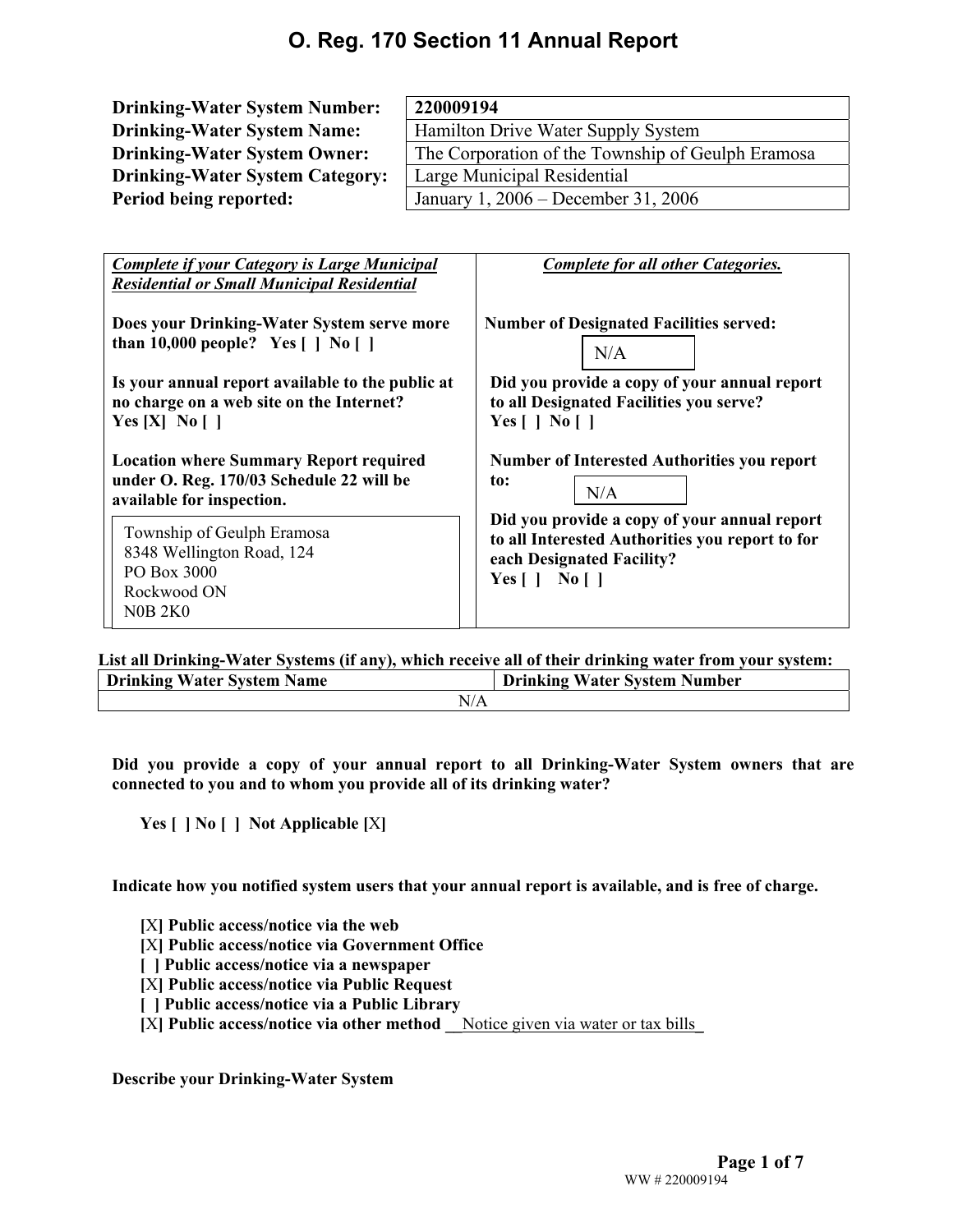| <b>Drinking-Water System Number:</b>                                                                     | 220009194                                                                               |  |  |  |  |  |
|----------------------------------------------------------------------------------------------------------|-----------------------------------------------------------------------------------------|--|--|--|--|--|
| <b>Drinking-Water System Name:</b>                                                                       | Hamilton Drive Water Supply System                                                      |  |  |  |  |  |
| <b>Drinking-Water System Owner:</b>                                                                      | The Corporation of the Township of Geulph Eramosa                                       |  |  |  |  |  |
| <b>Drinking-Water System Category:</b>                                                                   | Large Municipal Residential                                                             |  |  |  |  |  |
| Period being reported:                                                                                   | January 1, 2006 – December 31, 2006                                                     |  |  |  |  |  |
|                                                                                                          |                                                                                         |  |  |  |  |  |
| <b>Complete if your Category is Large Municipal</b><br><b>Residential or Small Municipal Residential</b> | <b>Complete for all other Categories.</b>                                               |  |  |  |  |  |
| Does your Drinking-Water System serve more<br>than 10,000 people? Yes $[   N_0   ]$                      | <b>Number of Designated Facilities served:</b><br>N/A                                   |  |  |  |  |  |
| Is your annual report available to the public at<br>no charge on a web site on the Internet?             | Did you provide a copy of your annual report<br>to all Designated Facilities you serve? |  |  |  |  |  |

**Yes [ ] No [ ] Number of Interested Authorities you report** 

**Location where Summary Report required under O. Reg. 170/03 Schedule 22 will be available for inspection.** 

Township of Geulph Eramosa 8348 Wellington Road, 124 PO Box 3000 Rockwood ON N0B 2K0

**Yes [X] No [ ]**

**to: Did you provide a copy of your annual report to all Interested Authorities you report to for each Designated Facility?**  N/A

**Yes [ ] No [ ]** 

**List all Drinking-Water Systems (if any), which receive all of their drinking water from your system:** 

| <b>Drinking Water System Name</b> | <b>Drinking Water System Number</b> |
|-----------------------------------|-------------------------------------|
| N/A                               |                                     |

**Did you provide a copy of your annual report to all Drinking-Water System owners that are connected to you and to whom you provide all of its drinking water?** 

**Yes [ ] No [ ] Not Applicable [**X**]** 

**Indicate how you notified system users that your annual report is available, and is free of charge.** 

**[**X**] Public access/notice via the web** 

**[**X**] Public access/notice via Government Office** 

**[ ] Public access/notice via a newspaper** 

**[**X**] Public access/notice via Public Request** 

**[ ] Public access/notice via a Public Library** 

**[**X**] Public access/notice via other method \_\_**Notice given via water or tax bills\_

**Describe your Drinking-Water System**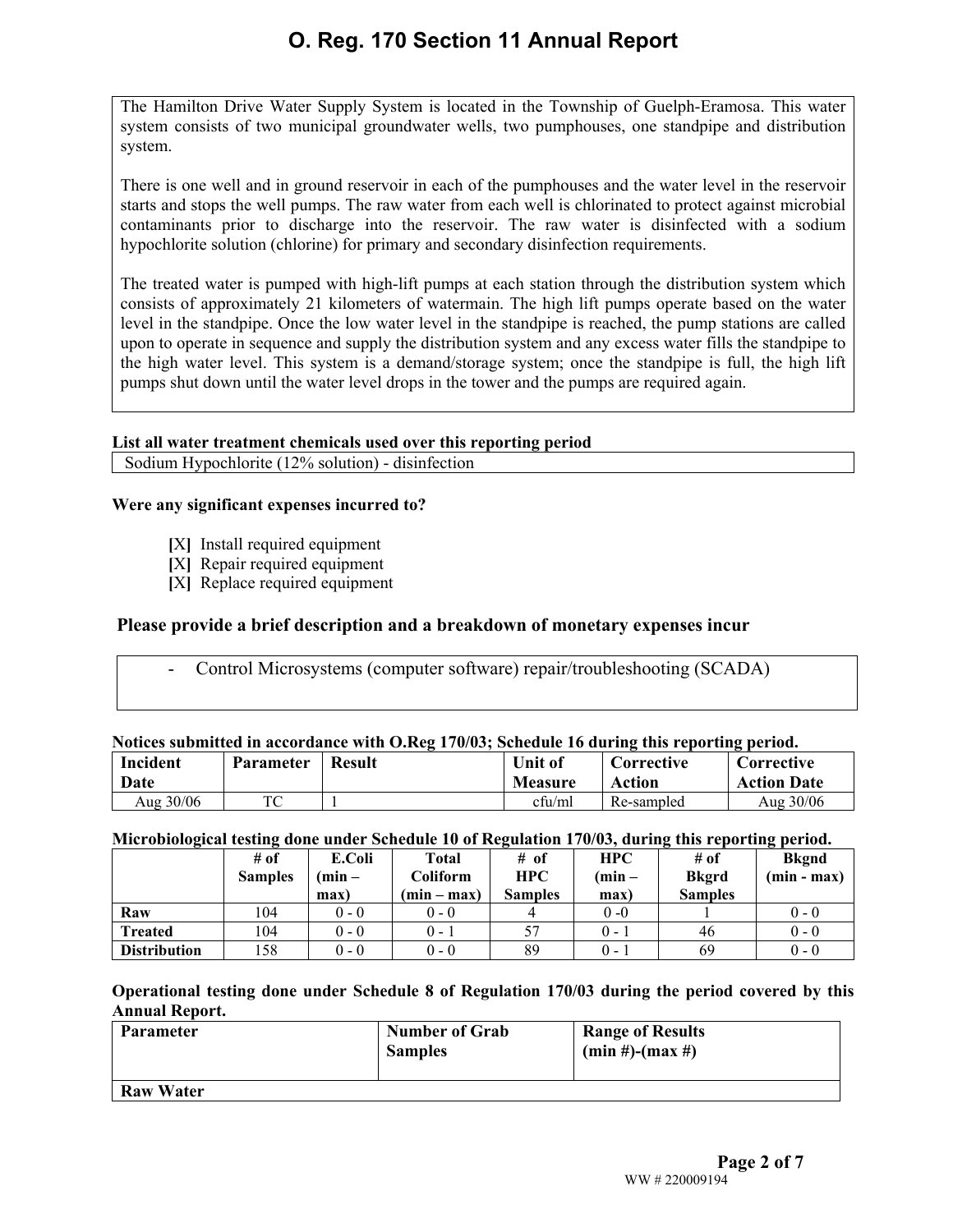The Hamilton Drive Water Supply System is located in the Township of Guelph-Eramosa. This water system consists of two municipal groundwater wells, two pumphouses, one standpipe and distribution system.

There is one well and in ground reservoir in each of the pumphouses and the water level in the reservoir starts and stops the well pumps. The raw water from each well is chlorinated to protect against microbial contaminants prior to discharge into the reservoir. The raw water is disinfected with a sodium hypochlorite solution (chlorine) for primary and secondary disinfection requirements.

The treated water is pumped with high-lift pumps at each station through the distribution system which consists of approximately 21 kilometers of watermain. The high lift pumps operate based on the water level in the standpipe. Once the low water level in the standpipe is reached, the pump stations are called upon to operate in sequence and supply the distribution system and any excess water fills the standpipe to the high water level. This system is a demand/storage system; once the standpipe is full, the high lift pumps shut down until the water level drops in the tower and the pumps are required again.

### **List all water treatment chemicals used over this reporting period**

Sodium Hypochlorite (12% solution) - disinfection

### **Were any significant expenses incurred to?**

- **[**X**]** Install required equipment
- **[**X**]** Repair required equipment
- **[**X**]** Replace required equipment

### **Please provide a brief description and a breakdown of monetary expenses incur**

- Control Microsystems (computer software) repair/troubleshooting (SCADA)

### **Notices submitted in accordance with O.Reg 170/03; Schedule 16 during this reporting period.**

| Incident<br><b>Date</b> | <b>Parameter</b> | <b>Result</b> | Unit of<br><b>Measure</b> | Corrective<br>Action | Corrective<br><b>Action Date</b> |
|-------------------------|------------------|---------------|---------------------------|----------------------|----------------------------------|
| Aug 30/06               | TC               |               | cfu/ml                    | Re-sampled           | Aug 30/06                        |

### **Microbiological testing done under Schedule 10 of Regulation 170/03, during this reporting period.**

|                     | # of<br><b>Samples</b> | E.Coli<br>$(\min -$<br>max) | <b>Total</b><br>Coliform<br>$(min - max)$ | # of<br><b>HPC</b><br><b>Samples</b> | <b>HPC</b><br>$(min -$<br>max) | $#$ of<br><b>Bkgrd</b><br><b>Samples</b> | <b>Bkgnd</b><br>$(min - max)$ |
|---------------------|------------------------|-----------------------------|-------------------------------------------|--------------------------------------|--------------------------------|------------------------------------------|-------------------------------|
| Raw                 | 104                    | $0 - 0$                     | $0 - 0$                                   |                                      | $0 - 0$                        |                                          | $0 - 0$                       |
| <b>Treated</b>      | 104                    | $0 - 0$                     | $0 - 1$                                   | 57                                   | $0 - 1$                        | 46                                       | $0 - 0$                       |
| <b>Distribution</b> | 158                    | $0 - 0$                     | $0 - 0$                                   | 89                                   | $0 - 1$                        | 69                                       | $0 - 0$                       |

**Operational testing done under Schedule 8 of Regulation 170/03 during the period covered by this Annual Report.** 

| Parameter        | <b>Number of Grab</b><br><b>Samples</b> | <b>Range of Results</b><br>$(min#)-(max#)$ |
|------------------|-----------------------------------------|--------------------------------------------|
| <b>Raw Water</b> |                                         |                                            |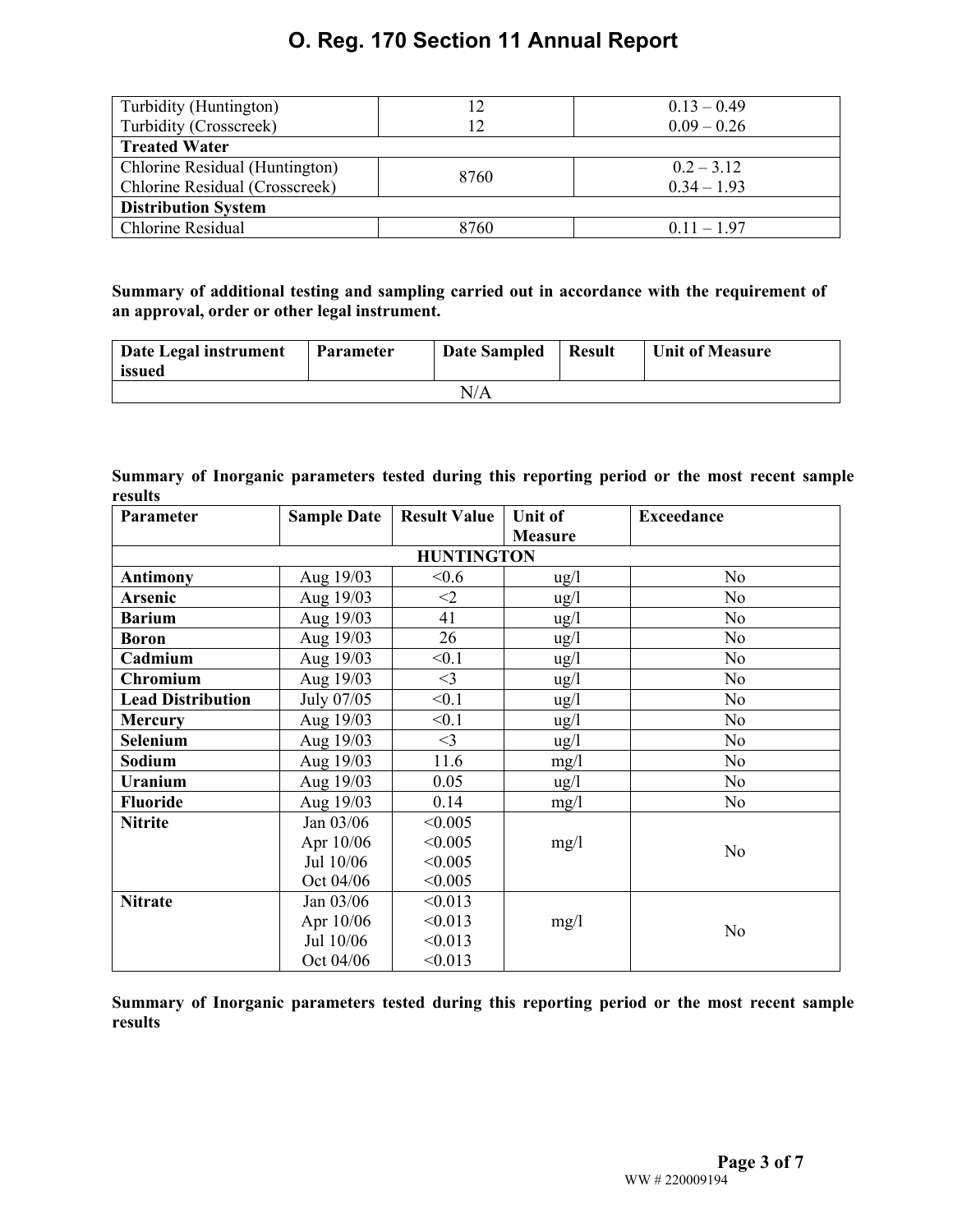| Turbidity (Huntington)         | 12   | $0.13 - 0.49$ |  |  |  |  |  |
|--------------------------------|------|---------------|--|--|--|--|--|
| Turbidity (Crosscreek)         | 12   | $0.09 - 0.26$ |  |  |  |  |  |
| <b>Treated Water</b>           |      |               |  |  |  |  |  |
| Chlorine Residual (Huntington) | 8760 | $0.2 - 3.12$  |  |  |  |  |  |
| Chlorine Residual (Crosscreek) |      | $0.34 - 1.93$ |  |  |  |  |  |
| <b>Distribution System</b>     |      |               |  |  |  |  |  |
| <b>Chlorine Residual</b>       | 8760 | $0.11 - 1.97$ |  |  |  |  |  |

### **Summary of additional testing and sampling carried out in accordance with the requirement of an approval, order or other legal instrument.**

| Date Legal instrument<br>issued | <b>Parameter</b> | <b>Date Sampled</b> | <b>Result</b> | <b>Unit of Measure</b> |  |  |  |
|---------------------------------|------------------|---------------------|---------------|------------------------|--|--|--|
| N/A                             |                  |                     |               |                        |  |  |  |

### **Summary of Inorganic parameters tested during this reporting period or the most recent sample results**

| Parameter                | <b>Sample Date</b> | <b>Result Value</b><br><b>Unit of</b> |                 | <b>Exceedance</b> |
|--------------------------|--------------------|---------------------------------------|-----------------|-------------------|
|                          |                    |                                       | <b>Measure</b>  |                   |
|                          |                    | <b>HUNTINGTON</b>                     |                 |                   |
| <b>Antimony</b>          | Aug 19/03          | &0.6                                  | $\frac{u g}{l}$ | N <sub>o</sub>    |
| Arsenic                  | Aug 19/03          | $\leq$ 2                              | $\frac{u g}{l}$ | N <sub>0</sub>    |
| <b>Barium</b>            | Aug 19/03          | 41                                    | $\frac{u g}{l}$ | N <sub>0</sub>    |
| <b>Boron</b>             | Aug 19/03          | 26                                    | $\frac{u g}{l}$ | N <sub>0</sub>    |
| Cadmium                  | Aug 19/03          | < 0.1                                 | $\frac{1}{2}$   | N <sub>o</sub>    |
| <b>Chromium</b>          | Aug 19/03          | $<$ 3                                 | $\frac{u g}{l}$ | N <sub>0</sub>    |
| <b>Lead Distribution</b> | July 07/05         | < 0.1                                 | $\frac{u g}{l}$ | N <sub>o</sub>    |
| <b>Mercury</b>           | Aug 19/03          | < 0.1                                 | $\frac{u g}{l}$ | N <sub>o</sub>    |
| Selenium                 | Aug 19/03          | $<$ 3                                 | $\frac{1}{2}$   | N <sub>o</sub>    |
| Sodium                   | Aug 19/03          | 11.6                                  | mg/1            | N <sub>0</sub>    |
| Uranium                  | Aug 19/03          | 0.05                                  | $\frac{u g}{l}$ | N <sub>0</sub>    |
| <b>Fluoride</b>          | Aug 19/03          | 0.14                                  | mg/1            | N <sub>0</sub>    |
| <b>Nitrite</b>           | Jan 03/06          | < 0.005                               |                 |                   |
|                          | Apr 10/06          | < 0.005                               | mg/1            | N <sub>o</sub>    |
|                          | Jul 10/06          | < 0.005                               |                 |                   |
|                          | Oct 04/06          | < 0.005                               |                 |                   |
| <b>Nitrate</b>           | Jan 03/06          | < 0.013                               |                 |                   |
|                          | Apr 10/06          | < 0.013                               | mg/1            | N <sub>o</sub>    |
|                          | Jul 10/06          | < 0.013                               |                 |                   |
|                          | Oct 04/06          | < 0.013                               |                 |                   |

**Summary of Inorganic parameters tested during this reporting period or the most recent sample results**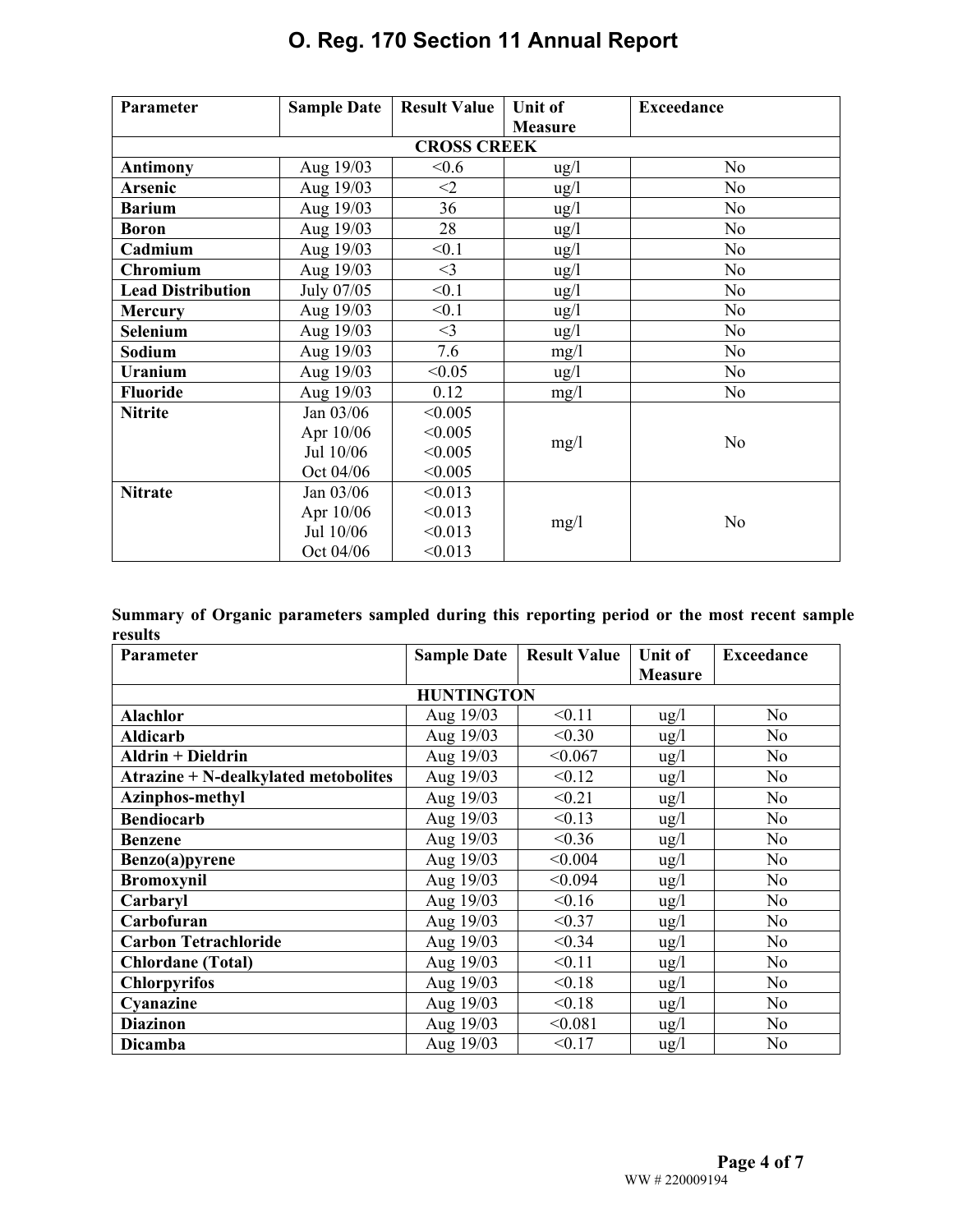| Parameter                | <b>Sample Date</b> | <b>Result Value</b> | <b>Unit of</b>  | <b>Exceedance</b> |
|--------------------------|--------------------|---------------------|-----------------|-------------------|
|                          |                    |                     | <b>Measure</b>  |                   |
|                          |                    | <b>CROSS CREEK</b>  |                 |                   |
| <b>Antimony</b>          | Aug 19/03          | < 0.6               | $\frac{u g}{l}$ | N <sub>0</sub>    |
| <b>Arsenic</b>           | Aug 19/03          | $<$ 2               | $\frac{u g}{l}$ | N <sub>0</sub>    |
| <b>Barium</b>            | Aug 19/03          | 36                  | $\frac{u g}{l}$ | N <sub>0</sub>    |
| <b>Boron</b>             | Aug 19/03          | 28                  | $\frac{u g}{l}$ | N <sub>0</sub>    |
| Cadmium                  | Aug 19/03          | < 0.1               | $\frac{u g}{l}$ | N <sub>0</sub>    |
| Chromium                 | Aug 19/03          | $\leq$ 3            | $\frac{u g}{l}$ | N <sub>o</sub>    |
| <b>Lead Distribution</b> | July 07/05         | < 0.1               | $\frac{u g}{l}$ | N <sub>0</sub>    |
| <b>Mercury</b>           | Aug 19/03          | < 0.1               | $\frac{u g}{l}$ | N <sub>0</sub>    |
| Selenium                 | Aug 19/03          | $<$ 3               | $\frac{u g}{l}$ | N <sub>0</sub>    |
| Sodium                   | Aug 19/03          | 7.6                 | mg/1            | N <sub>0</sub>    |
| <b>Uranium</b>           | Aug 19/03          | < 0.05              | $\frac{u g}{l}$ | N <sub>o</sub>    |
| <b>Fluoride</b>          | Aug 19/03          | 0.12                | mg/l            | N <sub>0</sub>    |
| <b>Nitrite</b>           | Jan 03/06          | < 0.005             |                 |                   |
|                          | Apr 10/06          | < 0.005             | mg/1            | N <sub>o</sub>    |
|                          | Jul 10/06          | < 0.005             |                 |                   |
|                          | Oct 04/06          | < 0.005             |                 |                   |
| <b>Nitrate</b>           | Jan 03/06          | < 0.013             |                 |                   |
|                          | Apr 10/06          | < 0.013             | mg/1            | N <sub>o</sub>    |
|                          | Jul 10/06          | < 0.013             |                 |                   |
|                          | Oct 04/06          | < 0.013             |                 |                   |

|         | Summary of Organic parameters sampled during this reporting period or the most recent sample |  |  |  |  |  |
|---------|----------------------------------------------------------------------------------------------|--|--|--|--|--|
| results |                                                                                              |  |  |  |  |  |

| <b>Parameter</b>                     | <b>Sample Date</b> | <b>Result Value</b> | <b>Unit of</b>  | <b>Exceedance</b> |  |  |  |  |
|--------------------------------------|--------------------|---------------------|-----------------|-------------------|--|--|--|--|
|                                      |                    |                     | <b>Measure</b>  |                   |  |  |  |  |
| <b>HUNTINGTON</b>                    |                    |                     |                 |                   |  |  |  |  |
| <b>Alachlor</b>                      | Aug 19/03          | < 0.11              | $\frac{u g}{l}$ | N <sub>o</sub>    |  |  |  |  |
| <b>Aldicarb</b>                      | Aug 19/03          | < 0.30              | $\frac{u g}{l}$ | N <sub>0</sub>    |  |  |  |  |
| Aldrin + Dieldrin                    | Aug 19/03          | < 0.067             | ug/l            | No                |  |  |  |  |
| Atrazine + N-dealkylated metobolites | Aug 19/03          | < 0.12              | $\frac{u g}{l}$ | N <sub>0</sub>    |  |  |  |  |
| Azinphos-methyl                      | Aug 19/03          | < 0.21              | $\frac{u g}{l}$ | N <sub>o</sub>    |  |  |  |  |
| <b>Bendiocarb</b>                    | Aug 19/03          | < 0.13              | $\frac{u g}{l}$ | No.               |  |  |  |  |
| <b>Benzene</b>                       | Aug 19/03          | < 0.36              | $\frac{u g}{l}$ | N <sub>o</sub>    |  |  |  |  |
| Benzo(a)pyrene                       | Aug 19/03          | < 0.004             | $\frac{u g}{l}$ | N <sub>0</sub>    |  |  |  |  |
| <b>Bromoxynil</b>                    | Aug 19/03          | < 0.094             | $\frac{u g}{l}$ | N <sub>o</sub>    |  |  |  |  |
| Carbaryl                             | Aug 19/03          | < 0.16              | $\frac{u g}{l}$ | N <sub>0</sub>    |  |  |  |  |
| Carbofuran                           | Aug 19/03          | < 0.37              | $\frac{u g}{l}$ | No                |  |  |  |  |
| <b>Carbon Tetrachloride</b>          | Aug 19/03          | < 0.34              | ug/l            | N <sub>0</sub>    |  |  |  |  |
| <b>Chlordane</b> (Total)             | Aug 19/03          | < 0.11              | $\frac{u g}{l}$ | N <sub>o</sub>    |  |  |  |  |
| <b>Chlorpyrifos</b>                  | Aug 19/03          | < 0.18              | $\frac{u}{g}$   | N <sub>o</sub>    |  |  |  |  |
| Cyanazine                            | Aug 19/03          | < 0.18              | ug/l            | N <sub>o</sub>    |  |  |  |  |
| <b>Diazinon</b>                      | Aug 19/03          | < 0.081             | $\frac{u g}{l}$ | N <sub>o</sub>    |  |  |  |  |
| Dicamba                              | Aug 19/03          | < 0.17              | $\frac{u g}{l}$ | N <sub>0</sub>    |  |  |  |  |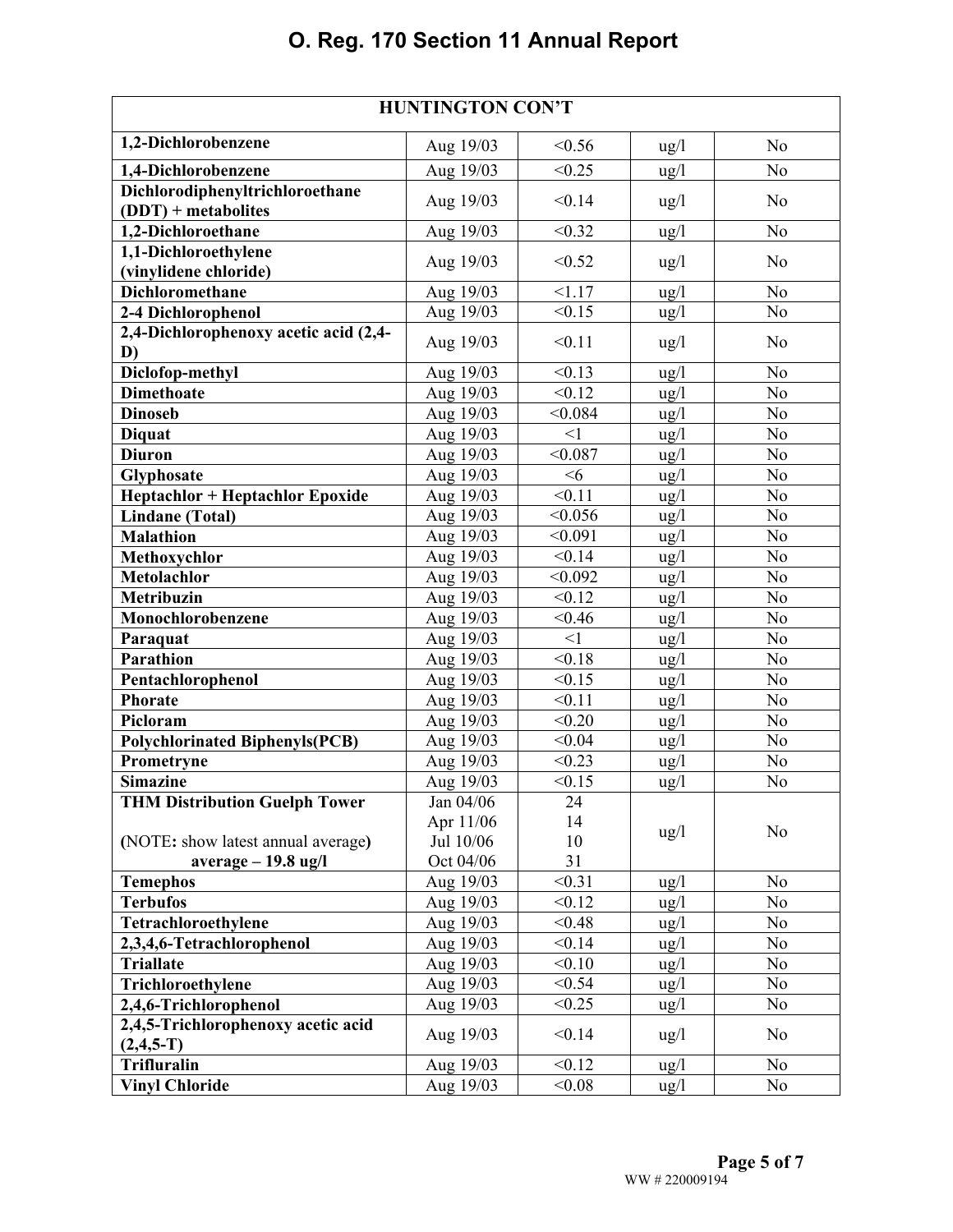| <b>HUNTINGTON CON'T</b>                           |                        |                |                 |                |  |  |  |
|---------------------------------------------------|------------------------|----------------|-----------------|----------------|--|--|--|
| 1,2-Dichlorobenzene                               | Aug 19/03              | < 0.56         | $\frac{u g}{l}$ | N <sub>o</sub> |  |  |  |
| 1,4-Dichlorobenzene                               | Aug 19/03              | < 0.25         | $\frac{u g}{l}$ | N <sub>o</sub> |  |  |  |
| Dichlorodiphenyltrichloroethane                   | Aug 19/03              | < 0.14         | $\frac{u g}{l}$ | N <sub>o</sub> |  |  |  |
| $(DDT)$ + metabolites                             |                        |                |                 |                |  |  |  |
| 1,2-Dichloroethane                                | Aug 19/03              | < 0.32         | $\frac{u g}{l}$ | N <sub>o</sub> |  |  |  |
| 1,1-Dichloroethylene                              | Aug 19/03              | < 0.52         | ug/l            | N <sub>0</sub> |  |  |  |
| (vinylidene chloride)                             |                        |                |                 |                |  |  |  |
| Dichloromethane<br>2-4 Dichlorophenol             | Aug 19/03<br>Aug 19/03 | 1.17<br>< 0.15 | $\frac{u g}{l}$ | No<br>$\rm No$ |  |  |  |
| 2,4-Dichlorophenoxy acetic acid (2,4-             |                        |                | $\frac{u g}{l}$ |                |  |  |  |
| D)                                                | Aug 19/03              | < 0.11         | $\frac{u g}{l}$ | N <sub>0</sub> |  |  |  |
| Diclofop-methyl                                   | Aug 19/03              | < 0.13         | $\frac{u}{g}$   | No             |  |  |  |
| <b>Dimethoate</b>                                 | Aug 19/03              | < 0.12         | $\frac{u}{g}$   | N <sub>o</sub> |  |  |  |
| <b>Dinoseb</b>                                    | Aug 19/03              | < 0.084        | ug/l            | N <sub>o</sub> |  |  |  |
| <b>Diquat</b>                                     | Aug 19/03              | $<$ 1          | $\frac{u g}{l}$ | N <sub>0</sub> |  |  |  |
| <b>Diuron</b>                                     | Aug 19/03              | < 0.087        | $\frac{u}{g}$   | N <sub>o</sub> |  |  |  |
| Glyphosate                                        | Aug 19/03              | <6             | $\frac{u}{g}$   | N <sub>o</sub> |  |  |  |
| <b>Heptachlor + Heptachlor Epoxide</b>            | Aug 19/03              | < 0.11         | ug/l            | N <sub>o</sub> |  |  |  |
| <b>Lindane</b> (Total)                            | Aug 19/03              | < 0.056        | $\frac{u g}{l}$ | N <sub>o</sub> |  |  |  |
| <b>Malathion</b>                                  | Aug 19/03              | < 0.091        | $\frac{u g}{l}$ | N <sub>o</sub> |  |  |  |
| Methoxychlor                                      | Aug 19/03              | < 0.14         | $\frac{u}{g}$   | N <sub>o</sub> |  |  |  |
| <b>Metolachlor</b>                                | Aug 19/03              | < 0.092        | ug/l            | N <sub>o</sub> |  |  |  |
| Metribuzin                                        | Aug 19/03              | $\sqrt{0.12}$  | ug/l            | N <sub>o</sub> |  |  |  |
| Monochlorobenzene                                 | Aug 19/03              | < 0.46         | $\frac{u g}{l}$ | N <sub>o</sub> |  |  |  |
| Paraquat                                          | Aug 19/03              | <1             | ug/l            | N <sub>o</sub> |  |  |  |
| <b>Parathion</b>                                  | Aug 19/03              | < 0.18         | $\frac{u g}{l}$ | N <sub>0</sub> |  |  |  |
| Pentachlorophenol                                 | Aug 19/03              | < 0.15         | $\frac{u}{g}$   | N <sub>o</sub> |  |  |  |
| <b>Phorate</b>                                    | Aug 19/03              | < 0.11         | ug/l            | N <sub>o</sub> |  |  |  |
| Picloram                                          | Aug 19/03              | < 0.20         | $\frac{u}{g}$   | N <sub>o</sub> |  |  |  |
| <b>Polychlorinated Biphenyls(PCB)</b>             | Aug 19/03              | < 0.04         | $\frac{u}{g}$   | N <sub>o</sub> |  |  |  |
| Prometryne                                        | Aug 19/03              | < 0.23         | $\frac{u g}{l}$ | N <sub>o</sub> |  |  |  |
| <b>Simazine</b>                                   | Aug 19/03              | < 0.15         | ug/l            | N <sub>0</sub> |  |  |  |
| <b>THM Distribution Guelph Tower</b>              | Jan 04/06              | 24             |                 |                |  |  |  |
|                                                   | Apr 11/06              | 14             | $\frac{u g}{l}$ | N <sub>o</sub> |  |  |  |
| (NOTE: show latest annual average)                | Jul 10/06              | 10             |                 |                |  |  |  |
| $average - 19.8$ ug/l                             | Oct 04/06              | 31             |                 |                |  |  |  |
| <b>Temephos</b>                                   | Aug 19/03              | < 0.31         | $\frac{u g}{l}$ | N <sub>o</sub> |  |  |  |
| <b>Terbufos</b>                                   | Aug 19/03              | < 0.12         | $\frac{u g}{l}$ | N <sub>o</sub> |  |  |  |
| Tetrachloroethylene                               | Aug 19/03              | < 0.48         | $\frac{u}{g}$   | No             |  |  |  |
| 2,3,4,6-Tetrachlorophenol                         | Aug 19/03              | < 0.14         | $\frac{u}{g}$   | N <sub>0</sub> |  |  |  |
| <b>Triallate</b>                                  | Aug 19/03              | < 0.10         | $\frac{u g}{l}$ | No             |  |  |  |
| Trichloroethylene                                 | Aug 19/03              | < 0.54         | $\frac{u}{g}$   | N <sub>0</sub> |  |  |  |
| 2,4,6-Trichlorophenol                             | Aug 19/03              | < 0.25         | $\frac{u g}{l}$ | N <sub>0</sub> |  |  |  |
| 2,4,5-Trichlorophenoxy acetic acid<br>$(2,4,5-T)$ | Aug 19/03              | < 0.14         | $\frac{u g}{l}$ | N <sub>o</sub> |  |  |  |
| Trifluralin                                       | Aug 19/03              | < 0.12         | $\frac{u g}{l}$ | N <sub>0</sub> |  |  |  |
| <b>Vinyl Chloride</b>                             | Aug 19/03              | < 0.08         | $\frac{u g}{l}$ | No             |  |  |  |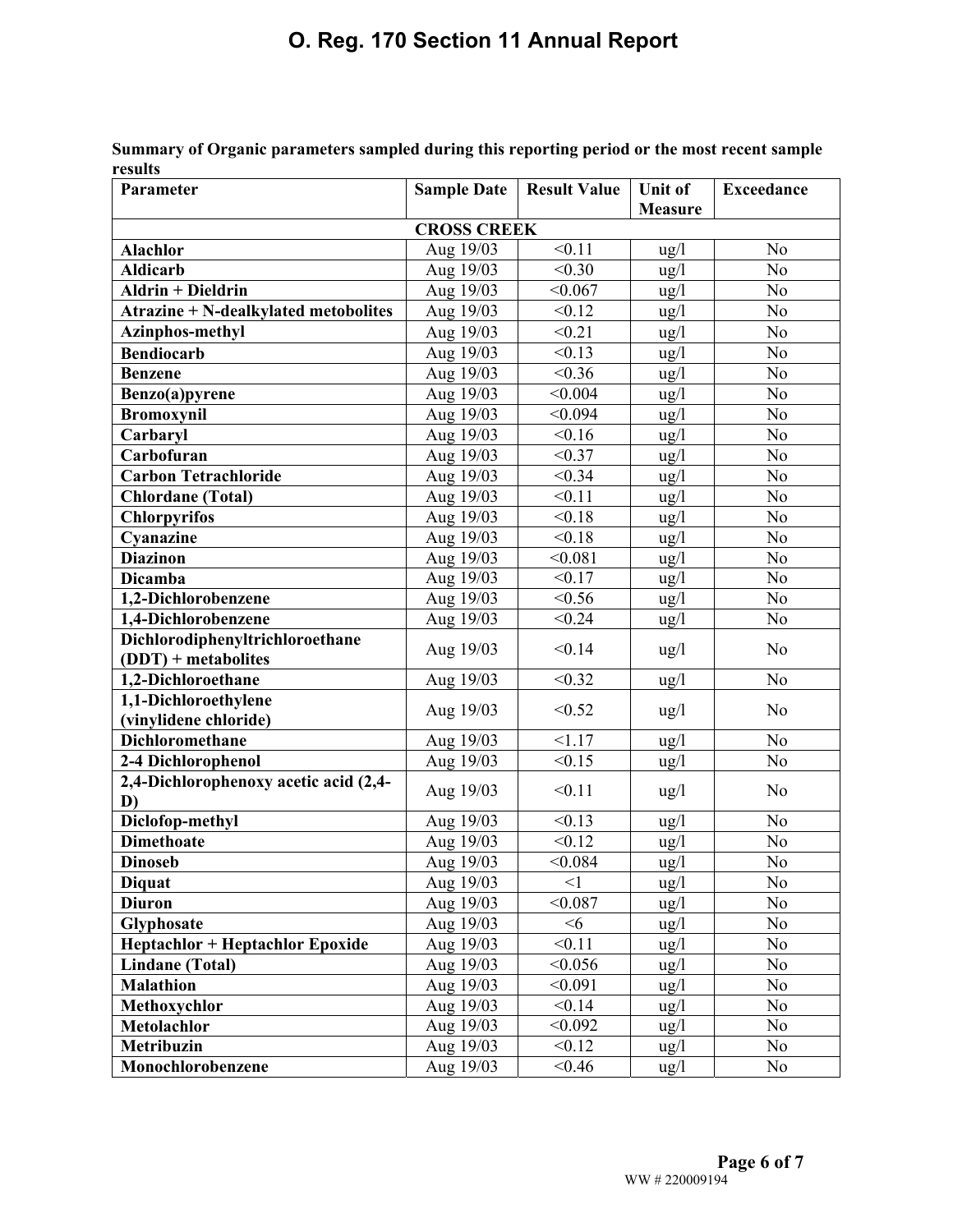| Parameter                                   | <b>Sample Date</b> | <b>Result Value</b> | Unit of         | <b>Exceedance</b> |  |  |
|---------------------------------------------|--------------------|---------------------|-----------------|-------------------|--|--|
|                                             |                    |                     | <b>Measure</b>  |                   |  |  |
| <b>CROSS CREEK</b>                          |                    |                     |                 |                   |  |  |
| Alachlor                                    | Aug 19/03          | < 0.11              | $\frac{u g}{l}$ | N <sub>0</sub>    |  |  |
| <b>Aldicarb</b>                             | Aug 19/03          | < 0.30              | $\frac{u g}{l}$ | N <sub>0</sub>    |  |  |
| <b>Aldrin + Dieldrin</b>                    | Aug 19/03          | < 0.067             | ug/l            | N <sub>o</sub>    |  |  |
| <b>Atrazine + N-dealkylated metobolites</b> | Aug 19/03          | < 0.12              | $\frac{u g}{l}$ | N <sub>o</sub>    |  |  |
| Azinphos-methyl                             | Aug 19/03          | < 0.21              | ug/l            | N <sub>o</sub>    |  |  |
| <b>Bendiocarb</b>                           | Aug 19/03          | < 0.13              | $\frac{u}{g}$   | N <sub>o</sub>    |  |  |
| <b>Benzene</b>                              | Aug 19/03          | < 0.36              | ug/l            | N <sub>o</sub>    |  |  |
| Benzo(a)pyrene                              | Aug 19/03          | < 0.004             | ug/l            | N <sub>o</sub>    |  |  |
| <b>Bromoxynil</b>                           | Aug 19/03          | < 0.094             | $\frac{u g}{l}$ | N <sub>o</sub>    |  |  |
| Carbaryl                                    | Aug 19/03          | < 0.16              | ug/l            | N <sub>o</sub>    |  |  |
| Carbofuran                                  | Aug 19/03          | < 0.37              | $\frac{u g}{l}$ | No                |  |  |
| <b>Carbon Tetrachloride</b>                 | Aug 19/03          | < 0.34              | $\frac{u g}{l}$ | N <sub>o</sub>    |  |  |
| <b>Chlordane</b> (Total)                    | Aug 19/03          | < 0.11              | $\frac{u}{g}$   | N <sub>o</sub>    |  |  |
| <b>Chlorpyrifos</b>                         | Aug 19/03          | < 0.18              | $\frac{u g}{l}$ | N <sub>o</sub>    |  |  |
| Cyanazine                                   | Aug 19/03          | < 0.18              | ug/l            | No                |  |  |
| <b>Diazinon</b>                             | Aug 19/03          | < 0.081             | ug/l            | N <sub>o</sub>    |  |  |
| <b>Dicamba</b>                              | Aug 19/03          | < 0.17              | $\frac{u g}{l}$ | N <sub>o</sub>    |  |  |
| 1,2-Dichlorobenzene                         | Aug 19/03          | < 0.56              | ug/l            | N <sub>o</sub>    |  |  |
| 1,4-Dichlorobenzene                         | Aug 19/03          | < 0.24              | $\frac{u g}{l}$ | N <sub>o</sub>    |  |  |
| Dichlorodiphenyltrichloroethane             | Aug 19/03          | < 0.14              | $\frac{u g}{l}$ | N <sub>o</sub>    |  |  |
| $(DDT)$ + metabolites                       |                    |                     |                 |                   |  |  |
| 1,2-Dichloroethane                          | Aug 19/03          | < 0.32              | $\frac{u g}{l}$ | N <sub>o</sub>    |  |  |
| 1,1-Dichloroethylene                        | Aug 19/03          | < 0.52              | ug/l            | N <sub>0</sub>    |  |  |
| (vinylidene chloride)                       |                    |                     |                 |                   |  |  |
| Dichloromethane                             | Aug 19/03          | 1.17                | $\frac{u}{g}$   | N <sub>o</sub>    |  |  |
| 2-4 Dichlorophenol                          | Aug 19/03          | < 0.15              | $\frac{u g}{l}$ | N <sub>o</sub>    |  |  |
| 2,4-Dichlorophenoxy acetic acid (2,4-<br>D) | Aug 19/03          | < 0.11              | $\frac{u g}{l}$ | N <sub>o</sub>    |  |  |
| Diclofop-methyl                             | Aug 19/03          | < 0.13              | $\frac{u g}{l}$ | N <sub>o</sub>    |  |  |
| <b>Dimethoate</b>                           | Aug 19/03          | < 0.12              | $\frac{u g}{l}$ | No                |  |  |
| <b>Dinoseb</b>                              | Aug 19/03          | < 0.084             | $\frac{u}{g}$   | N <sub>o</sub>    |  |  |
| <b>Diquat</b>                               | Aug 19/03          | <1                  | $\frac{u g}{l}$ | No                |  |  |
| <b>Diuron</b>                               | Aug 19/03          | < 0.087             | $\frac{u}{g}$   | N <sub>o</sub>    |  |  |
| Glyphosate                                  | Aug 19/03          | <6                  | $\frac{u}{g}$   | No                |  |  |
| <b>Heptachlor + Heptachlor Epoxide</b>      | Aug 19/03          | < 0.11              | $\frac{u g}{l}$ | N <sub>0</sub>    |  |  |
| <b>Lindane (Total)</b>                      | Aug 19/03          | < 0.056             | $\frac{u}{g}$   | No                |  |  |
| <b>Malathion</b>                            | Aug 19/03          | < 0.091             | $\frac{u g}{l}$ | No                |  |  |
| Methoxychlor                                | Aug 19/03          | < 0.14              | $\frac{u g}{l}$ | No                |  |  |
| Metolachlor                                 | Aug 19/03          | < 0.092             | $\frac{u g}{l}$ | No                |  |  |
| Metribuzin                                  | Aug 19/03          | < 0.12              | $\frac{u g}{l}$ | N <sub>0</sub>    |  |  |
| Monochlorobenzene                           | Aug 19/03          | < 0.46              | ug/l            | No                |  |  |

**Summary of Organic parameters sampled during this reporting period or the most recent sample results**